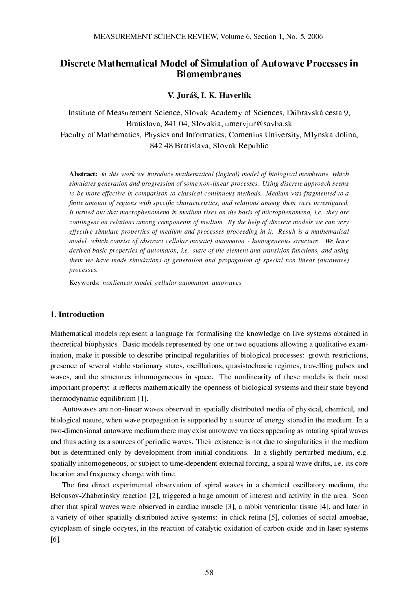# Discrete Mathematical Model of Simulation of Autowave Processes in Biomembranes

# V. Juráš, I. K. Haverlík

Institute of Measurement Science, Slovak Academy of Sciences, Dúbravská cesta 9, Bratislava, 841 04, Slovakia, umervjur@savba.sk Faculty of Mathematics, Physics and Informatics, Comenius University, Mlynska dolina, 842 48 Bratislava, Slovak Republic

Abstract: In this work we introduce mathematical (logical) model of biological membrane, which simulates generation and progression of some non-linear processes. Using discrete approach seems to be more effective in comparison to classical continuous methods. Medium was fragmented to a finite amount of regions with specific characteristics, and relations among them were investigated. It turned out that macrophenomena in medium rises on the basis of microphenomena, i.e. they are contingent on relations among components of medium. By the help of discrete models we can very effective simulate properties of medium and processes proceeding in it. Result is a mathematical model, which consist of abstract cellular mosaic) automaton - homogeneous structure. We have derived basic properties of automaton, i.e. state of the element and transition functions, and using them we have made simulations of generation and propagation of special non-linear (autowave) processes.

Keywords: nonlienear model, cellular automaton, autowaves

# 1. Introduction

Mathematical models represent a language for formalising the knowledge on live systems obtained in theoretical biophysics. Basic models represented by one or two equations allowing a qualitative examination, make it possible to describe principal regularities of biological processes: growth restrictions, presence of several stable stationary states, oscillations, quasistochastic regimes, travelling pulses and waves, and the structures inhomogeneous in space. The nonlinearity of these models is their most important property: it reflects mathematically the openness of biological systems and their state beyond thermodynamic equilibrium [1].

Autowaves are non-linear waves observed in spatially distributed media of physical, chemical, and biological nature, when wave propagation is supported by a source of energy stored in the medium. In a two-dimensional autowave medium there may exist autowave vortices appearing as rotating spiral waves and thus acting as a sources of periodic waves. Their existence is not due to singularities in the medium but is determined only by development from initial conditions. In a slightly perturbed medium, e.g. spatially inhomogeneous, or subject to time-dependent external forcing, a spiral wave drifts, i.e. its core location and frequency change with time.

The first direct experimental observation of spiral waves in a chemical oscillatory medium, the Belousov-Zhabotinsky reaction [2], triggered a huge amount of interest and activity in the area. Soon after that spiral waves were observed in cardiac muscle [3], a rabbit ventricular tissue [4], and later in a variety of other spatially distributed active systems: in chick retina [5], colonies of social amoebae, cytoplasm of single oocytes, in the reaction of catalytic oxidation of carbon oxide and in laser systems [6].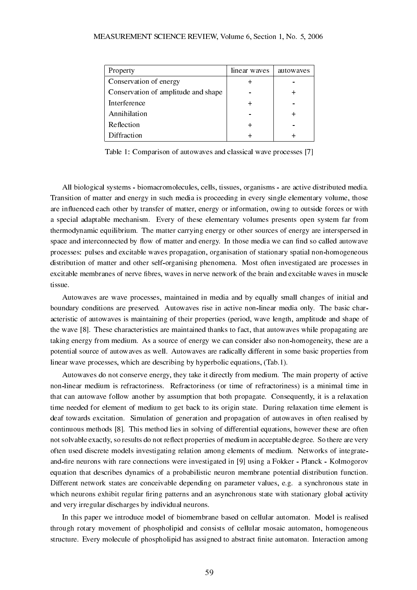| Property                            | linear waves | autowayes |
|-------------------------------------|--------------|-----------|
| Conservation of energy              |              |           |
| Conservation of amplitude and shape |              |           |
| Interference                        |              |           |
| Annihilation                        |              |           |
| Reflection                          |              |           |
| Diffraction                         |              |           |

Table 1: Comparison of autowaves and classical wave processes [7]

All biological systems - biomacromolecules, cells, tissues, organisms - are active distributed media. Transition of matter and energy in such media is proceeding in every single elementary volume, those are influenced each other by transfer of matter, energy or information, owing to outside forces or with a special adaptable mechanism. Every of these elementary volumes presents open system far from thermodynamic equilibrium. The matter carrying energy or other sources of energy are interspersed in space and interconnected by flow of matter and energy. In those media we can find so called autowave processes: pulses and excitable waves propagation, organisation of stationary spatial non-homogeneous distribution of matter and other self-organising phenomena. Most often investigated are processes in excitable membranes of nerve fibres, waves in nerve network of the brain and excitable waves in muscle tissue.

Autowaves are wave processes, maintained in media and by equally small changes of initial and boundary conditions are preserved. Autowaves rise in active non-linear media only. The basic characteristic of autowaves is maintaining of their properties (period, wave length, amplitude and shape of the wave [8]. These characteristics are maintained thanks to fact, that autowaves while propagating are taking energy from medium. As a source of energy we can consider also non-homogeneity, these are a potential source of autowaves as well. Autowaves are radically different in some basic properties from linear wave processes, which are describing by hyperbolic equations, (Tab.1).

Autowaves do not conserve energy, they take it directly from medium. The main property of active non-linear medium is refractoriness. Refractoriness (or time of refractoriness) is a minimal time in that can autowave follow another by assumption that both propagate. Consequently, it is a relaxation time needed for element of medium to get back to its origin state. During relaxation time element is deaf towards excitation. Simulation of generation and propagation of autowaves in often realised by continuous methods [8]. This method lies in solving of differential equations, however these are often not solvable exactly, so results do not reflect properties of medium in acceptable degree. So there are very often used discrete models investigating relation among elements of medium. Networks of integrateand-fire neurons with rare connections were investigated in [9] using a Fokker - Planck - Kolmogorov equation that describes dynamics of a probabilistic neuron membrane potential distribution function. Different network states are conceivable depending on parameter values, e.g. a synchronous state in which neurons exhibit regular firing patterns and an asynchronous state with stationary global activity and very irregular discharges by individual neurons.

In this paper we introduce model of biomembrane based on cellular automaton. Model is realised through rotary movement of phospholipid and consists of cellular mosaic automaton, homogeneous structure. Every molecule of phospholipid has assigned to abstract finite automaton. Interaction among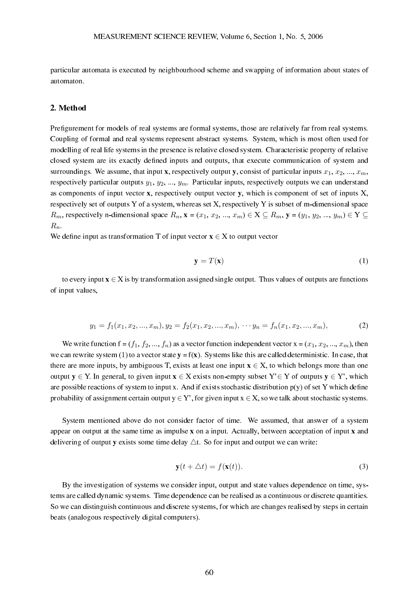particular automata is executed by neighbourhood scheme and swapping of information about states of automaton.

### 2. Method

Prefigurement for models of real systems are formal systems, those are relatively far from real systems. Coupling of formal and real systems represent abstract systems. System, which is most often used for modelling of real life systems in the presence is relative closed system. Characteristic property of relative closed system are its exactly defined inputs and outputs, that execute communication of system and surroundings. We assume, that input x, respectively output y, consist of particular inputs  $x_1, x_2, ..., x_m$ , respectively particular outputs  $y_1, y_2, ..., y_m$ . Particular inputs, respectively outputs we can understand as components of input vector x, respectively output vector y, which is component of set of inputs X, respectively set of outputs Y of a system, whereas set X, respectively Y is subset of m-dimensional space  $R_m$ , respectively n-dimensional space  $R_n$ ,  $\mathbf{x} = (x_1, x_2, ..., x_m) \in \mathbf{X} \subseteq R_m$ ,  $\mathbf{y} = (y_1, y_2, ..., y_m) \in \mathbf{Y} \subseteq \mathbf{X}$  $R_n$ .

We define input as transformation T of input vector  $x \in X$  to output vector

$$
\mathbf{y} = T(\mathbf{x}) \tag{1}
$$

to every input  $x \in X$  is by transformation assigned single output. Thus values of outputs are functions of input values,

$$
y_1 = f_1(x_1, x_2, \dots, x_m), y_2 = f_2(x_1, x_2, \dots, x_m), \dots y_n = f_n(x_1, x_2, \dots, x_m),
$$
\n(2)

We write function  $f = (f_1, f_2, ..., f_n)$  as a vector function independent vector  $x = (x_1, x_2, ..., x_m)$ , then we can rewrite system (1) to a vector state  $y = f(x)$ . Systems like this are called deterministic. In case, that there are more inputs, by ambiguous T, exists at least one input  $x \in X$ , to which belongs more than one output  $y \in Y$ . In general, to given input  $x \in X$  exists non-empty subset  $Y \in Y$  of outputs  $y \in Y$ ', which are possible reactions of system to input x. And if exists stochastic distribution  $p(y)$  of set Y which define probability of assignment certain output  $y \in Y'$ , for given input  $x \in X$ , so we talk about stochastic systems.

System mentioned above do not consider factor of time. We assumed, that answer of a system appear on output at the same time as impulse x on a input. Actually, between acceptation of input x and delivering of output y exists some time delay  $\triangle t$ . So for input and output we can write:

$$
\mathbf{y}(t + \Delta t) = f(\mathbf{x}(t)).\tag{3}
$$

By the investigation of systems we consider input, output and state values dependence on time, systems are called dynamic systems. Time dependence can be realised as a continuous or discrete quantities. So we can distinguish continuous and discrete systems, for which are changes realised by steps in certain beats (analogous respectively digital computers).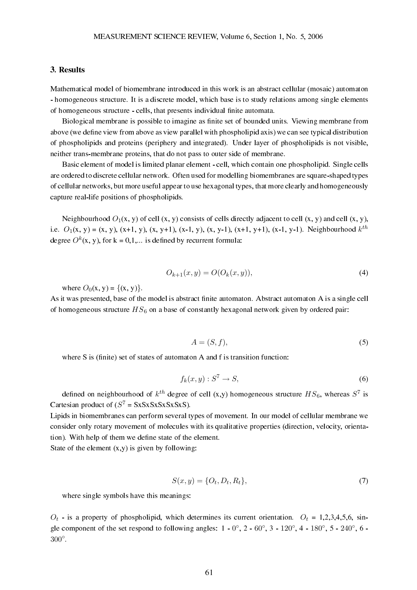# 3. Results

Mathematical model of biomembrane introduced in this work is an abstract cellular (mosaic) automaton - homogeneous structure. It is a discrete model, which base is to study relations among single elements of homogeneous structure - cells, that presents individual finite automata.

Biological membrane is possible to imagine as finite set of bounded units. Viewing membrane from above (we define view from above as view parallel with phospholipid axis) we can see typical distribution of phospholipids and proteins (periphery and integrated). Under layer of phospholipids is not visible, neither trans-membrane proteins, that do not pass to outer side of membrane.

Basic element of model is limited planar element - cell, which contain one phospholipid. Single cells are ordered to discrete cellular network. Often used for modelling biomembranes are square-shaped types of cellular networks, but more useful appear to use hexagonal types, that more clearly and homogeneously capture real-life positions of phospholipids.

Neighbourhood  $O_1(x, y)$  of cell  $(x, y)$  consists of cells directly adjacent to cell  $(x, y)$  and cell  $(x, y)$ , i.e.  $O_1(x, y) = (x, y)$ ,  $(x+1, y)$ ,  $(x, y+1)$ ,  $(x-1, y)$ ,  $(x, y-1)$ ,  $(x+1, y+1)$ ,  $(x-1, y-1)$ . Neighbourhood  $k^{th}$ degree  $O^k(x, y)$ , for  $k = 0, 1, ...$  is defined by recurrent formula:

$$
O_{k+1}(x, y) = O(O_k(x, y)),
$$
\n(4)

where  $O_0(x, y) = \{(x, y)\}.$ 

As it was presented, base of the model is abstract finite automaton. Abstract automaton A is a single cell of homogeneous structure  $HS_6$  on a base of constantly hexagonal network given by ordered pair:

$$
A = (S, f),\tag{5}
$$

where  $S$  is (finite) set of states of automaton  $A$  and  $f$  is transition function:

$$
f_k(x, y) : S^7 \to S,\tag{6}
$$

defined on neighbourhood of  $k^{th}$  degree of cell (x,y) homogeneous structure  $HS_6$ , whereas  $S^7$  is Cartesian product of  $(S^7 = SxSxSxSxSxS)$ .

Lipids in biomembranes can perform several types of movement. In our model of cellular membrane we consider only rotary movement of molecules with its qualitative properties (direction, velocity, orientation). With help of them we define state of the element.

State of the element  $(x,y)$  is given by following:

$$
S(x, y) = \{O_t, D_t, R_t\},\tag{7}
$$

where single symbols have this meanings:

 $O_t$  - is a property of phospholipid, which determines its current orientation.  $O_t = 1,2,3,4,5,6$ , single component of the set respond to following angles:  $1 - 0^\circ$ ,  $2 - 60^\circ$ ,  $3 - 120^\circ$ ,  $4 - 180^\circ$ ,  $5 - 240^\circ$ ,  $6 - 180^\circ$ 300◦ .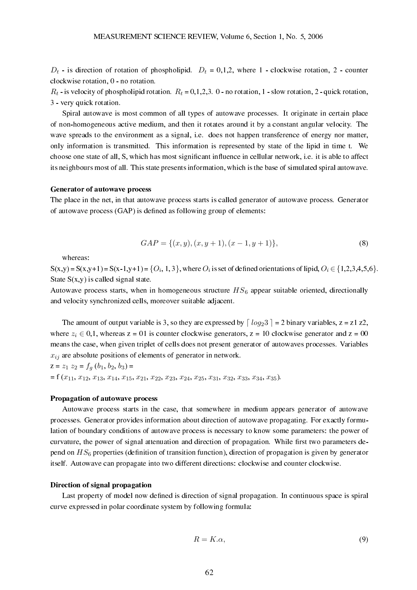$D_t$  - is direction of rotation of phospholipid.  $D_t = 0,1,2$ , where 1 - clockwise rotation, 2 - counter clockwise rotation, 0 - no rotation.

 $R_t$  - is velocity of phospholipid rotation.  $R_t = 0.1, 2, 3$ . 0 - no rotation, 1 - slow rotation, 2 - quick rotation, 3 - very quick rotation.

Spiral autowave is most common of all types of autowave processes. It originate in certain place of non-homogeneous active medium, and then it rotates around it by a constant angular velocity. The wave spreads to the environment as a signal, i.e. does not happen transference of energy nor matter, only information is transmitted. This information is represented by state of the lipid in time t. We choose one state of all, S, which has most significant influence in cellular network, i.e. it is able to affect its neighbours most of all. This state presents information, which is the base of simulated spiral autowave.

#### Generator of autowave process

The place in the net, in that autowave process starts is called generator of autowave process. Generator of autowave process (GAP) is defined as following group of elements:

$$
GAP = \{(x, y), (x, y + 1), (x - 1, y + 1)\},\tag{8}
$$

whereas:

 $S(x,y) = S(x,y+1) = S(x-1,y+1) = \{O_i, 1, 3\}$ , where  $O_i$  is set of defined orientations of lipid,  $O_i \in \{1, 2, 3, 4, 5, 6\}$ . State  $S(x,y)$  is called signal state.

Autowave process starts, when in homogeneous structure  $HS<sub>6</sub>$  appear suitable oriented, directionally and velocity synchronized cells, moreover suitable adjacent.

The amount of output variable is 3, so they are expressed by  $\lceil log_2 3 \rceil = 2$  binary variables,  $z = z1 z2$ , where  $z_i \in [0,1]$ , whereas  $z = 01$  is counter clockwise generators,  $z = 10$  clockwise generator and  $z = 00$ means the case, when given triplet of cells does not present generator of autowaves processes. Variables  $x_{ij}$  are absolute positions of elements of generator in network.

 $z = z_1 z_2 = f_a (b_1, b_2, b_3) =$  $= f(x_{11}, x_{12}, x_{13}, x_{14}, x_{15}, x_{21}, x_{22}, x_{23}, x_{24}, x_{25}, x_{31}, x_{32}, x_{33}, x_{34}, x_{35}).$ 

#### Propagation of autowave process

Autowave process starts in the case, that somewhere in medium appears generator of autowave processes. Generator provides information about direction of autowave propagating. For exactly formulation of boundary conditions of autowave process is necessary to know some parameters: the power of curvature, the power of signal attenuation and direction of propagation. While first two parameters depend on  $HS_6$  properties (definition of transition function), direction of propagation is given by generator itself. Autowave can propagate into two different directions: clockwise and counter clockwise.

#### Direction of signal propagation

Last property of model now defined is direction of signal propagation. In continuous space is spiral curve expressed in polar coordinate system by following formula:

$$
R = K.\alpha,\tag{9}
$$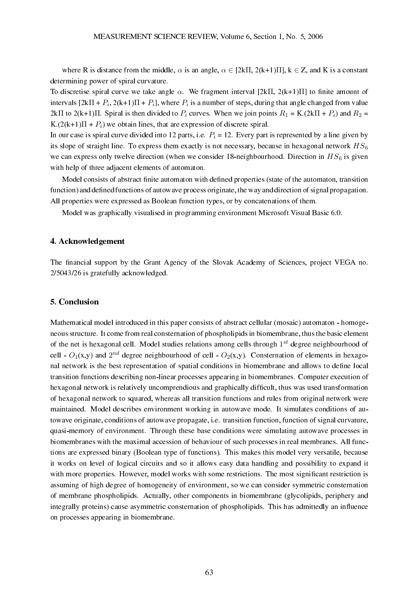where R is distance from the middle,  $\alpha$  is an angle,  $\alpha \in [2k\pi, 2(k+1)\pi]$ ,  $k \in \mathbb{Z}$ , and K is a constant determining power of spiral curvature.

To discretise spiral curve we take angle  $\alpha$ . We fragment interval [2kΠ, 2(k+1)Π] to finite amount of intervals  $[2k\Pi + P_i, 2(k+1)\Pi + P_i]$ , where  $P_i$  is a number of steps, during that angle changed from value 2kΠ to 2(k+1)Π. Spiral is then divided to  $P_i$  curves. When we join points  $R_1 = K(2k\Pi + P_i)$  and  $R_2 =$ K. $(2(k+1)\Pi + P_i)$  we obtain lines, that are expression of discrete spiral.

In our case is spiral curve divided into 12 parts, i.e.  $P_i = 12$ . Every part is represented by a line given by its slope of straight line. To express them exactly is not necessary, because in hexagonal network  $HS_6$ we can express only twelve direction (when we consider 18-neighbourhood. Direction in  $HS_6$  is given with help of three adjacent elements of automaton.

Model consists of abstract finite automaton with defined properties (state of the automaton, transition function) and defined functions of autowave process originate, the way and direction of signal propagation. All properties were expressed as Boolean function types, or by concatenations of them.

Model was graphically visualised in programming environment Microsoft Visual Basic 6.0.

# 4. Acknowledgement

The financial support by the Grant Agency of the Slovak Academy of Sciences, project VEGA no. 2/5043/26 is gratefully acknowledged.

# 5. Conclusion

Mathematical model introduced in this paper consists of abstract cellular (mosaic) automaton - homogeneous structure. It come from real consternation of phospholipids in biomembrane, thus the basic element of the net is hexagonal cell. Model studies relations among cells through  $1^{st}$  degree neighbourhood of cell -  $O_1(x,y)$  and  $2^{nd}$  degree neighbourhood of cell -  $O_2(x,y)$ . Consternation of elements in hexagonal network is the best representation of spatial conditions in biomembrane and allows to define local transition functions describing non-linear processes appearing in biomembranes. Computer execution of hexagonal network is relatively uncomprendious and graphically difficult, thus was used transformation of hexagonal network to squared, whereas all transition functions and rules from original network were maintained. Model describes environment working in autowave mode. It simulates conditions of autowave originate, conditions of autowave propagate, i.e. transition function, function of signal curvature, quasi-memory of environment. Through these base conditions were simulating autowave processes in biomembranes with the maximal accession of behaviour of such processes in real membranes. All functions are expressed binary (Boolean type of functions). This makes this model very versatile, because it works on level of logical circuits and so it allows easy data handling and possibility to expand it with more properties. However, model works with some restrictions. The most significant restriction is assuming of high degree of homogeneity of environment, so we can consider symmetric consternation of membrane phospholipids. Actually, other components in biomembrane (glycolipids, periphery and integrally proteins) cause asymmetric consternation of phospholipids. This has admittedly an influence on processes appearing in biomembrane.